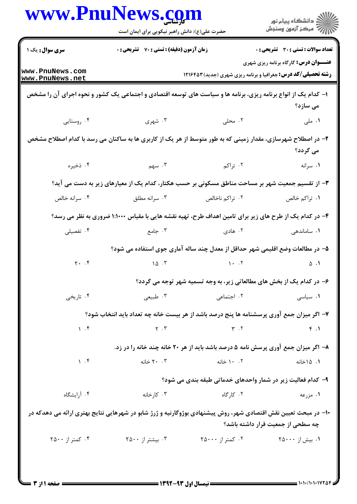|                                                                                                                | حضرت علی(ع): دانش راهبر نیکویی برای ایمان است                                                                  |                                                                                   | ≦ دانشڪاه پيام نور<br>ر∕ = مرڪز آزمون وسنڊش  |
|----------------------------------------------------------------------------------------------------------------|----------------------------------------------------------------------------------------------------------------|-----------------------------------------------------------------------------------|----------------------------------------------|
| <b>سری سوال :</b> یک ۱                                                                                         | <b>زمان آزمون (دقیقه) : تستی : 70 قشریحی : 0</b>                                                               |                                                                                   | تعداد سوالات : تستي : 30 ٪ تشريحي : 0        |
| www.PnuNews.com<br>www.PnuNews.net                                                                             |                                                                                                                | <b>رشته تحصیلی/کد درس:</b> جغرافیا و برنامه ریزی شهری (جدید) ۱۲۱۶۴۵۳              | <b>عنـــوان درس:</b> گارگاه برنامه ریزی شهری |
| ۱– کدام یک از انواع برنامه ریزی، برنامه ها و سیاست های توسعه اقتصادی و اجتماعی یک کشور و نحوه اجرای آن را مشخص |                                                                                                                |                                                                                   | می سازد؟                                     |
| ۰۴ روستایی                                                                                                     | ۰۳ شهری                                                                                                        | ۲. محلی                                                                           | ۰۱ ملی                                       |
|                                                                                                                | ۲– در اصطلاح شهرسازی، مقدار زمینی که به طور متوسط از هر یک از کاربری ها به ساکنان می رسد با کدام اصطلاح مشخص   |                                                                                   | می گردد؟                                     |
| ۰۴ ذخیره                                                                                                       | $\mathbf{r}$ . سهم                                                                                             | ۰۲ تراکم                                                                          | ۰۱ سرانه                                     |
|                                                                                                                | ۳- از تقسیم جمعیت شهر بر مساحت مناطق مسکونی بر حسب هکتار، کدام یک از معیارهای زیر به دست می آید؟               |                                                                                   |                                              |
| ۰۴ سرانه خالص                                                                                                  | ۰۳ سرانه مطلق                                                                                                  | ۰۲ تراکم ناخالص                                                                   | ۰۱ تراکم خالص                                |
|                                                                                                                | ۴- در کدام یک از طرح های زیر برای تامین اهداف طرح، تهیه نقشه هایی با مقیاس ۱:۱۰۰۰ ضروری به نظر می رسد؟         |                                                                                   |                                              |
| ۰۴ تفصیلی                                                                                                      | ۰۳ جامع $\cdot$                                                                                                | ۰۲ هادی                                                                           | ۰۱ ساماندهی                                  |
|                                                                                                                |                                                                                                                | ۵– در مطالعات وضع اقلیمی شهر حداقل از معدل چند ساله آماری جوی استفاده می شود؟     |                                              |
| Y. . f                                                                                                         | 10.7                                                                                                           | $\mathcal{N}$ . $\mathcal{N}$                                                     | $\Delta$ .                                   |
|                                                                                                                |                                                                                                                | ۶- در کدام یک از بخش های مطالعاتی زیر، به وجه تسمیه شهر توجه می گردد؟             |                                              |
| ۰۴ تاریخی                                                                                                      | ۰۳ طبیعی                                                                                                       | ۰۲ اجتماعی                                                                        | ۰۱ سیاسی                                     |
|                                                                                                                | ۷– اگر میزان جمع آوری پرسشنامه ها پنج درصد باشد از هر بیست خانه چه تعداد باید انتخاب شود؟                      |                                                                                   |                                              |
| 1.5                                                                                                            | $Y \cdot Y$                                                                                                    | $Y \cdot Y$                                                                       | f.1                                          |
|                                                                                                                |                                                                                                                | ۸- اگر میزان جمع آوری پرسش نامه ۵ درصد باشد باید از هر ۲۰ خانه چند خانه را در زد. |                                              |
| 1.5                                                                                                            | ٢٠. ٢٠ خانه                                                                                                    | ۰. ۱۰ خانه                                                                        | ۰۱ ۱۵خانه                                    |
|                                                                                                                |                                                                                                                | ۹- کدام فعالیت زیر در شمار واحدهای خدماتی طبقه بندی می شود؟                       |                                              |
| ۰۴ آرایشگاه                                                                                                    | ۰۳ کارخانه                                                                                                     | ۰۲ کا <sub>ر گاه</sub>                                                            | ۰۱ مزرعه                                     |
|                                                                                                                | ∙۱− در مبحث تعیین نقش اقتصادی شهر، روش پیشنهادی بوژوگارنیه و ژرژ شابو در شهرهایی نتایج بهتری ارائه می دهدکه در |                                                                                   | چه سطحی از جمعیت قرار داشته باشد؟            |
| ۰۴ کمتر از ۲۵۰۰                                                                                                | ۰۳ بیشتر از ۲۵۰۰                                                                                               | ۰۲ کمتر از ۲۵۰۰۰                                                                  | ۰۱ بیش از ۲۵۰۰۰                              |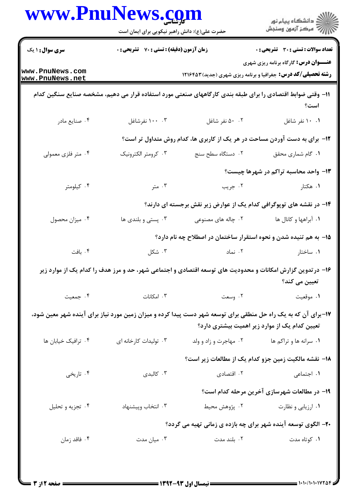|                                    | www.PnuNews.com<br>حضرت علی(ع): دانش راهبر نیکویی برای ایمان است |                                                                                                               | ِ<br>∭ دانشڪاه پيام نور<br>∭ مرڪز آزمون وسنڊش                                                                        |  |
|------------------------------------|------------------------------------------------------------------|---------------------------------------------------------------------------------------------------------------|----------------------------------------------------------------------------------------------------------------------|--|
| <b>سری سوال : ۱ یک</b>             | زمان آزمون (دقیقه) : تستی : 70 ٪ تشریحی : 0                      |                                                                                                               | <b>تعداد سوالات : تستی : 30 ٪ تشریحی : 0</b>                                                                         |  |
| www.PnuNews.com<br>www.PnuNews.net |                                                                  |                                                                                                               | <b>عنـــوان درس:</b> گارگاه برنامه ریزی شهری<br><b>رشته تحصیلی/کد درس:</b> جغرافیا و برنامه ریزی شهری (جدید) ۱۲۱۶۴۵۳ |  |
|                                    |                                                                  | 1۱– وقتی ضوابط اقتصادی را برای طبقه بندی کارگاههای صنعتی مورد استفاده قرار می دهیم، مشخصه صنایع سنگین کدام    | است؟                                                                                                                 |  |
| ۰۴ صنایع مادر                      | ۰۰ .۰۰ نفرشاغل                                                   | ۰۲ نفر شاغل                                                                                                   | ۰۱ ۱۰ نفر شاغل                                                                                                       |  |
|                                    |                                                                  | ۱۲- برای به دست آوردن مساحت در هر یک از کاربری ها، کدام روش متداول تر است؟                                    |                                                                                                                      |  |
| ۰۴ متر فلزی معمولی                 | ۰۳ كرومتر الكترونيك                                              | ۰۲ دستگاه سطح سنج                                                                                             | ٠١ گام شماري محقق                                                                                                    |  |
|                                    |                                                                  |                                                                                                               | ۱۳- واحد محاسبه تراکم در شهرها چیست؟                                                                                 |  |
| ۰۴ کیلومتر                         | ۰۳ متر                                                           | ۰۲ جریب                                                                                                       | ۰۱ هکتار                                                                                                             |  |
|                                    |                                                                  | ۱۴- در نقشه های توپوگرافی کدام یک از عوارض زیر نقش برجسته ای دارند؟                                           |                                                                                                                      |  |
| ۰۴ میزان محصول                     | ۰۳ پستی و بلندی ها                                               | ۰۲ چاله های مصنوعی                                                                                            | ۰۱ آبراهها و کانال ها                                                                                                |  |
|                                    |                                                                  | ۱۵– به هم تنیده شدن و نحوه استقرار ساختمان در اصطلاح چه نام دارد؟                                             |                                                                                                                      |  |
| ۰۴ بافت                            | ۰۳ شکل $\cdot$                                                   | ۰۲ نماد                                                                                                       | ۰۱ ساختار                                                                                                            |  |
|                                    |                                                                  | ۱۶– در تدوین گزارش امکانات و محدودیت های توسعه اقتصادی و اجتماعی شهر، حد و مرز هدف را کدام یک از موارد زیر    | تعیین می کند؟                                                                                                        |  |
| ۰۴ جمعیت                           | ۰۳ امکانات                                                       | ۰۲ وسعت                                                                                                       | ۰۱ موقعیت                                                                                                            |  |
|                                    |                                                                  | ۱۷–برای آن که به یک راه حل منطقی برای توسعه شهر دست پیدا کرده و میزان زمین مورد نیاز برای آینده شهر معین شود، | تعیین کدام یک از موارد زیر اهمیت بیشتری دارد؟                                                                        |  |
| ۰۴ ترافیک خیابان ها                | ۰۳ تولیدات کارخانه ای                                            | ۰۲ مهاجرت و زاد و ولد                                                                                         | ۰۱ سرانه ها و تراکم ها                                                                                               |  |
|                                    |                                                                  |                                                                                                               | ۱۸– نقشه مالکیت زمین جزو کدام یک از مطالعات زیر است؟                                                                 |  |
| ۰۴ تاریخی                          | ۰۳ کالېدی                                                        | ۰۲ اقتصادی                                                                                                    | ۰۱ اجتما <i>ع</i> ی                                                                                                  |  |
|                                    |                                                                  |                                                                                                               | ۱۹- در مطالعات شهرسازی آخرین مرحله کدام است؟                                                                         |  |
| ۰۴ تجزيه و تحليل                   | ۰۳ انتخاب وپیشنهاد                                               | ۰۲ پژوهش محیط                                                                                                 | ۰۱ ارزیابی و نظارت                                                                                                   |  |
|                                    |                                                                  | ۲۰- الگوی توسعه آینده شهر برای چه بازده ی زمانی تهیه می گردد؟                                                 |                                                                                                                      |  |
| ۰۴ فاقد زمان                       | ۰۳ میان مدت                                                      | ۰۲ بلند مدت                                                                                                   | ۰۱ کوتاه مدت                                                                                                         |  |